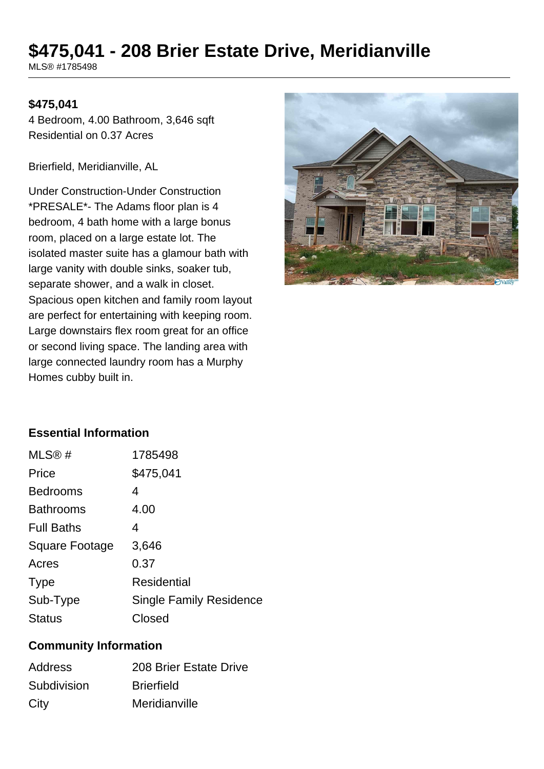# **\$475,041 - 208 Brier Estate Drive, Meridianville**

MLS® #1785498

#### **\$475,041**

4 Bedroom, 4.00 Bathroom, 3,646 sqft Residential on 0.37 Acres

Brierfield, Meridianville, AL

Under Construction-Under Construction \*PRESALE\*- The Adams floor plan is 4 bedroom, 4 bath home with a large bonus room, placed on a large estate lot. The isolated master suite has a glamour bath with large vanity with double sinks, soaker tub, separate shower, and a walk in closet. Spacious open kitchen and family room layout are perfect for entertaining with keeping room. Large downstairs flex room great for an office or second living space. The landing area with large connected laundry room has a Murphy Homes cubby built in.



### **Essential Information**

| MLS@#                 | 1785498                        |
|-----------------------|--------------------------------|
| Price                 | \$475,041                      |
| <b>Bedrooms</b>       | 4                              |
| <b>Bathrooms</b>      | 4.00                           |
| <b>Full Baths</b>     | 4                              |
| <b>Square Footage</b> | 3,646                          |
| Acres                 | 0.37                           |
| <b>Type</b>           | <b>Residential</b>             |
| Sub-Type              | <b>Single Family Residence</b> |
| <b>Status</b>         | Closed                         |

#### **Community Information**

| <b>Address</b> | 208 Brier Estate Drive |
|----------------|------------------------|
| Subdivision    | <b>Brierfield</b>      |
| City           | Meridianville          |